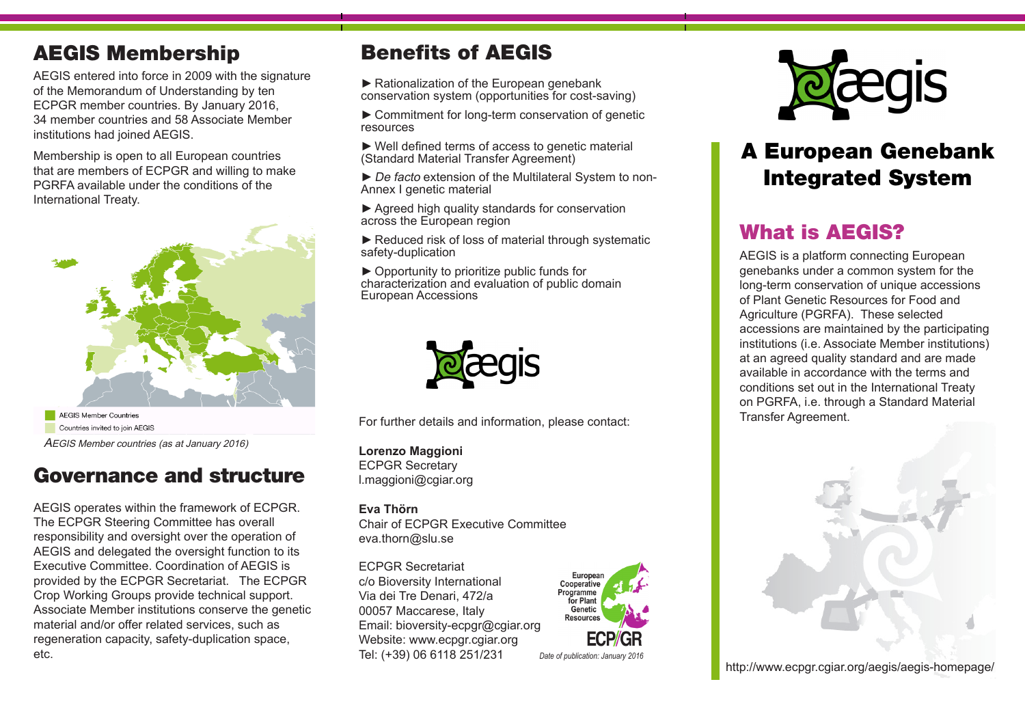## AEGIS Membership

AEGIS entered into force in 2009 with the signature of the Memorandum of Understanding by ten ECPGR member countries. By January 2016, 34 member countries and 58 Associate Member institutions had joined AEGIS.

Membership is open to all European countries that are members of ECPGR and willing to make PGRFA available under the conditions of the International Treaty.



AEGIS Member Countries Countries invited to join AEGIS AEGIS Member countries (as at January 2016)

## Governance and structure

AEGIS operates within the framework of ECPGR. The ECPGR Steering Committee has overall responsibility and oversight over the operation of AEGIS and delegated the oversight function to its Executive Committee. Coordination of AEGIS is provided by the ECPGR Secretariat. The ECPGR Crop Working Groups provide technical support. Associate Member institutions conserve the genetic material and/or offer related services, such as regeneration capacity, safety-duplication space, etc.

## Benefits of AEGIS

► Rationalization of the European genebank conservation system (opportunities for cost-saving)

►Commitment for long-term conservation of genetic resources

►Well defined terms of access to genetic material (Standard Material Transfer Agreement)

► De facto extension of the Multilateral System to non-Annex I genetic material

► Agreed high quality standards for conservation across the European region

► Reduced risk of loss of material through systematic safety-duplication

►Opportunity to prioritize public funds for characterization and evaluation of public domain European Accessions



For further details and information, please contact:

**Lorenzo Maggioni** ECPGR Secretary l.maggioni@cgiar.org

**Eva Thörn** Chair of ECPGR Executive Committee eva.thorn@slu.se

ECPGR Secretariat c/o Bioversity International Via dei Tre Denari, 472/a 00057 Maccarese, Italy Email: bioversity-ecpgr@cgiar.org Website: www.ecpgr.cgiar.org Tel: (+39) 06 6118 251/231 *Date of publication: January 2016*





# A European Genebank Integrated System

## What is AEGIS?

AEGIS is a platform connecting European genebanks under a common system for the long-term conservation of unique accessions of Plant Genetic Resources for Food and Agriculture (PGRFA). These selected accessions are maintained by the participating institutions (i.e. Associate Member institutions) at an agreed quality standard and are made available in accordance with the terms and conditions set out in the International Treaty on PGRFA, i.e. through a Standard Material Transfer Agreement.



http://www.ecpgr.cgiar.org/aegis/aegis-homepage/